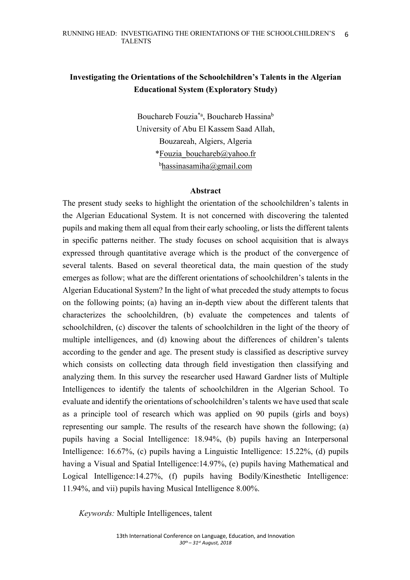# **Investigating the Orientations of the Schoolchildren's Talents in the Algerian Educational System (Exploratory Study)**

Bouchareb Fouzia\*a, Bouchareb Hassinab University of Abu El Kassem Saad Allah, Bouzareah, Algiers, Algeria \*Fouzia\_bouchareb@yahoo.fr b hassinasamiha@gmail.com

### **Abstract**

The present study seeks to highlight the orientation of the schoolchildren's talents in the Algerian Educational System. It is not concerned with discovering the talented pupils and making them all equal from their early schooling, or lists the different talents in specific patterns neither. The study focuses on school acquisition that is always expressed through quantitative average which is the product of the convergence of several talents. Based on several theoretical data, the main question of the study emerges as follow; what are the different orientations of schoolchildren's talents in the Algerian Educational System? In the light of what preceded the study attempts to focus on the following points; (a) having an in-depth view about the different talents that characterizes the schoolchildren, (b) evaluate the competences and talents of schoolchildren, (c) discover the talents of schoolchildren in the light of the theory of multiple intelligences, and (d) knowing about the differences of children's talents according to the gender and age. The present study is classified as descriptive survey which consists on collecting data through field investigation then classifying and analyzing them. In this survey the researcher used Haward Gardner lists of Multiple Intelligences to identify the talents of schoolchildren in the Algerian School. To evaluate and identify the orientations of schoolchildren's talents we have used that scale as a principle tool of research which was applied on 90 pupils (girls and boys) representing our sample. The results of the research have shown the following; (a) pupils having a Social Intelligence: 18.94%, (b) pupils having an Interpersonal Intelligence: 16.67%, (c) pupils having a Linguistic Intelligence: 15.22%, (d) pupils having a Visual and Spatial Intelligence:14.97%, (e) pupils having Mathematical and Logical Intelligence:14.27%, (f) pupils having Bodily/Kinesthetic Intelligence: 11.94%, and vii) pupils having Musical Intelligence 8.00%.

*Keywords:* Multiple Intelligences, talent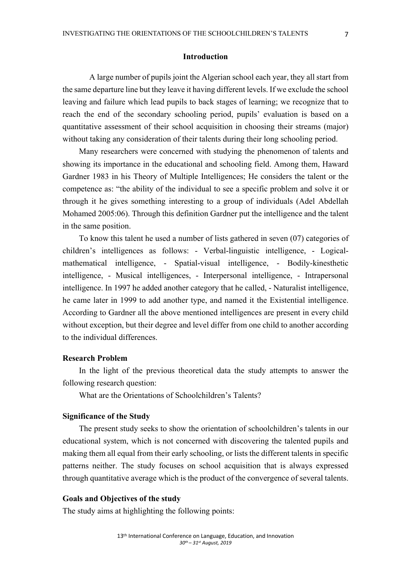A large number of pupils joint the Algerian school each year, they all start from the same departure line but they leave it having different levels. If we exclude the school leaving and failure which lead pupils to back stages of learning; we recognize that to reach the end of the secondary schooling period, pupils' evaluation is based on a quantitative assessment of their school acquisition in choosing their streams (major) without taking any consideration of their talents during their long schooling period.

Many researchers were concerned with studying the phenomenon of talents and showing its importance in the educational and schooling field. Among them, Haward Gardner 1983 in his Theory of Multiple Intelligences; He considers the talent or the competence as: "the ability of the individual to see a specific problem and solve it or through it he gives something interesting to a group of individuals (Adel Abdellah Mohamed 2005:06). Through this definition Gardner put the intelligence and the talent in the same position.

To know this talent he used a number of lists gathered in seven (07) categories of children's intelligences as follows: - Verbal-linguistic intelligence, - Logicalmathematical intelligence, - Spatial-visual intelligence, - Bodily-kinesthetic intelligence, - Musical intelligences, - Interpersonal intelligence, - Intrapersonal intelligence. In 1997 he added another category that he called, - Naturalist intelligence, he came later in 1999 to add another type, and named it the Existential intelligence. According to Gardner all the above mentioned intelligences are present in every child without exception, but their degree and level differ from one child to another according to the individual differences.

# **Research Problem**

In the light of the previous theoretical data the study attempts to answer the following research question:

What are the Orientations of Schoolchildren's Talents?

#### **Significance of the Study**

The present study seeks to show the orientation of schoolchildren's talents in our educational system, which is not concerned with discovering the talented pupils and making them all equal from their early schooling, or lists the different talents in specific patterns neither. The study focuses on school acquisition that is always expressed through quantitative average which is the product of the convergence of several talents.

#### **Goals and Objectives of the study**

The study aims at highlighting the following points: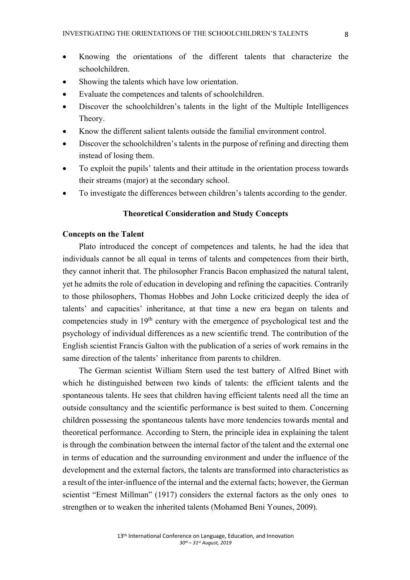- Knowing the orientations of the different talents that characterize the schoolchildren.
- Showing the talents which have low orientation.
- Evaluate the competences and talents of schoolchildren.
- Discover the schoolchildren's talents in the light of the Multiple Intelligences Theory.
- Know the different salient talents outside the familial environment control.
- Discover the schoolchildren's talents in the purpose of refining and directing them instead of losing them.
- To exploit the pupils' talents and their attitude in the orientation process towards their streams (major) at the secondary school.
- To investigate the differences between children's talents according to the gender.

### **Theoretical Consideration and Study Concepts**

#### **Concepts on the Talent**

Plato introduced the concept of competences and talents, he had the idea that individuals cannot be all equal in terms of talents and competences from their birth, they cannot inherit that. The philosopher Francis Bacon emphasized the natural talent, yet he admits the role of education in developing and refining the capacities. Contrarily to those philosophers, Thomas Hobbes and John Locke criticized deeply the idea of talents' and capacities' inheritance, at that time a new era began on talents and competencies study in 19th century with the emergence of psychological test and the psychology of individual differences as a new scientific trend. The contribution of the English scientist Francis Galton with the publication of a series of work remains in the same direction of the talents' inheritance from parents to children.

The German scientist William Stern used the test battery of Alfred Binet with which he distinguished between two kinds of talents: the efficient talents and the spontaneous talents. He sees that children having efficient talents need all the time an outside consultancy and the scientific performance is best suited to them. Concerning children possessing the spontaneous talents have more tendencies towards mental and theoretical performance. According to Stern, the principle idea in explaining the talent is through the combination between the internal factor of the talent and the external one in terms of education and the surrounding environment and under the influence of the development and the external factors, the talents are transformed into characteristics as a result of the inter-influence of the internal and the external facts; however, the German scientist "Ernest Millman" (1917) considers the external factors as the only ones to strengthen or to weaken the inherited talents (Mohamed Beni Younes, 2009).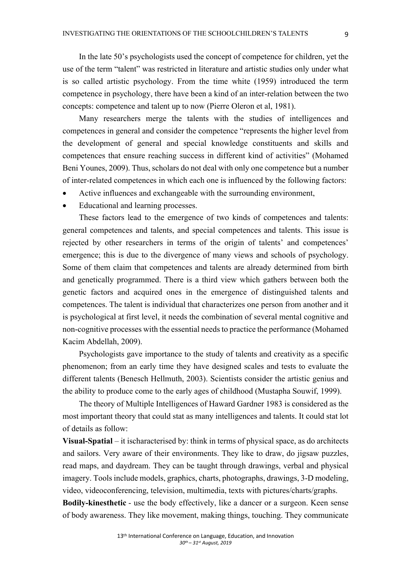In the late 50's psychologists used the concept of competence for children, yet the use of the term "talent" was restricted in literature and artistic studies only under what is so called artistic psychology. From the time white (1959) introduced the term competence in psychology, there have been a kind of an inter-relation between the two concepts: competence and talent up to now (Pierre Oleron et al, 1981).

Many researchers merge the talents with the studies of intelligences and competences in general and consider the competence "represents the higher level from the development of general and special knowledge constituents and skills and competences that ensure reaching success in different kind of activities" (Mohamed Beni Younes, 2009). Thus, scholars do not deal with only one competence but a number of inter-related competences in which each one is influenced by the following factors:

- Active influences and exchangeable with the surrounding environment,
- Educational and learning processes.

These factors lead to the emergence of two kinds of competences and talents: general competences and talents, and special competences and talents. This issue is rejected by other researchers in terms of the origin of talents' and competences' emergence; this is due to the divergence of many views and schools of psychology. Some of them claim that competences and talents are already determined from birth and genetically programmed. There is a third view which gathers between both the genetic factors and acquired ones in the emergence of distinguished talents and competences. The talent is individual that characterizes one person from another and it is psychological at first level, it needs the combination of several mental cognitive and non-cognitive processes with the essential needs to practice the performance (Mohamed Kacim Abdellah, 2009).

Psychologists gave importance to the study of talents and creativity as a specific phenomenon; from an early time they have designed scales and tests to evaluate the different talents (Benesch Hellmuth, 2003). Scientists consider the artistic genius and the ability to produce come to the early ages of childhood (Mustapha Souwif, 1999).

The theory of Multiple Intelligences of Haward Gardner 1983 is considered as the most important theory that could stat as many intelligences and talents. It could stat lot of details as follow:

**Visual-Spatial** – it ischaracterised by: think in terms of physical space, as do architects and sailors. Very aware of their environments. They like to draw, do jigsaw puzzles, read maps, and daydream. They can be taught through drawings, verbal and physical imagery. Tools include models, graphics, charts, photographs, drawings, 3-D modeling, video, videoconferencing, television, multimedia, texts with pictures/charts/graphs.

**Bodily-kinesthetic** - use the body effectively, like a dancer or a surgeon. Keen sense of body awareness. They like movement, making things, touching. They communicate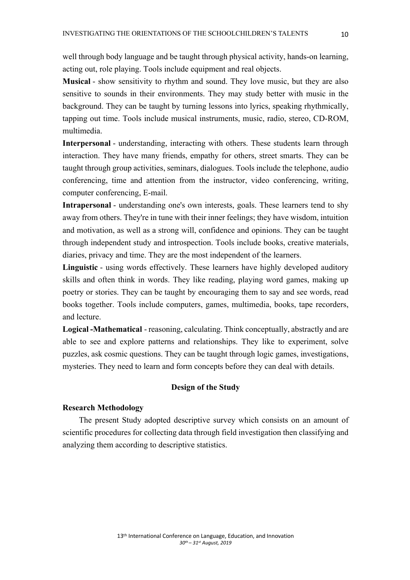well through body language and be taught through physical activity, hands-on learning, acting out, role playing. Tools include equipment and real objects.

**Musical** - show sensitivity to rhythm and sound. They love music, but they are also sensitive to sounds in their environments. They may study better with music in the background. They can be taught by turning lessons into lyrics, speaking rhythmically, tapping out time. Tools include musical instruments, music, radio, stereo, CD-ROM, multimedia.

**Interpersonal** - understanding, interacting with others. These students learn through interaction. They have many friends, empathy for others, street smarts. They can be taught through group activities, seminars, dialogues. Tools include the telephone, audio conferencing, time and attention from the instructor, video conferencing, writing, computer conferencing, E-mail.

**Intrapersonal** - understanding one's own interests, goals. These learners tend to shy away from others. They're in tune with their inner feelings; they have wisdom, intuition and motivation, as well as a strong will, confidence and opinions. They can be taught through independent study and introspection. Tools include books, creative materials, diaries, privacy and time. They are the most independent of the learners.

**Linguistic** - using words effectively. These learners have highly developed auditory skills and often think in words. They like reading, playing word games, making up poetry or stories. They can be taught by encouraging them to say and see words, read books together. Tools include computers, games, multimedia, books, tape recorders, and lecture.

**Logical -Mathematical** - reasoning, calculating. Think conceptually, abstractly and are able to see and explore patterns and relationships. They like to experiment, solve puzzles, ask cosmic questions. They can be taught through logic games, investigations, mysteries. They need to learn and form concepts before they can deal with details.

### **Design of the Study**

#### **Research Methodology**

The present Study adopted descriptive survey which consists on an amount of scientific procedures for collecting data through field investigation then classifying and analyzing them according to descriptive statistics.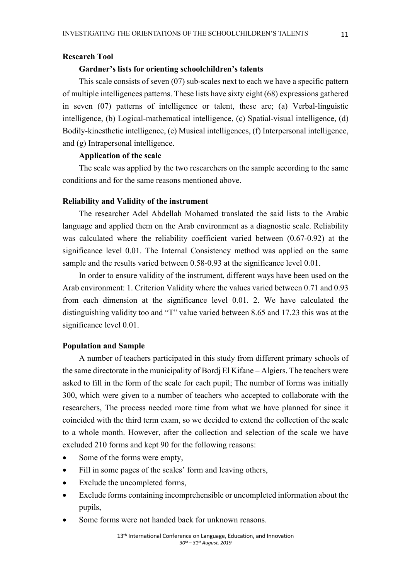# **Research Tool**

#### **Gardner's lists for orienting schoolchildren's talents**

This scale consists of seven (07) sub-scales next to each we have a specific pattern of multiple intelligences patterns. These lists have sixty eight (68) expressions gathered in seven (07) patterns of intelligence or talent, these are; (a) Verbal-linguistic intelligence, (b) Logical-mathematical intelligence, (c) Spatial-visual intelligence, (d) Bodily-kinesthetic intelligence, (e) Musical intelligences, (f) Interpersonal intelligence, and (g) Intrapersonal intelligence.

### **Application of the scale**

The scale was applied by the two researchers on the sample according to the same conditions and for the same reasons mentioned above.

#### **Reliability and Validity of the instrument**

The researcher Adel Abdellah Mohamed translated the said lists to the Arabic language and applied them on the Arab environment as a diagnostic scale. Reliability was calculated where the reliability coefficient varied between (0.67-0.92) at the significance level 0.01. The Internal Consistency method was applied on the same sample and the results varied between 0.58-0.93 at the significance level 0.01.

In order to ensure validity of the instrument, different ways have been used on the Arab environment: 1. Criterion Validity where the values varied between 0.71 and 0.93 from each dimension at the significance level 0.01. 2. We have calculated the distinguishing validity too and "T" value varied between 8.65 and 17.23 this was at the significance level 0.01.

#### **Population and Sample**

A number of teachers participated in this study from different primary schools of the same directorate in the municipality of Bordj El Kifane – Algiers. The teachers were asked to fill in the form of the scale for each pupil; The number of forms was initially 300, which were given to a number of teachers who accepted to collaborate with the researchers, The process needed more time from what we have planned for since it coincided with the third term exam, so we decided to extend the collection of the scale to a whole month. However, after the collection and selection of the scale we have excluded 210 forms and kept 90 for the following reasons:

- Some of the forms were empty,
- Fill in some pages of the scales' form and leaving others,
- Exclude the uncompleted forms,
- Exclude forms containing incomprehensible or uncompleted information about the pupils,
- Some forms were not handed back for unknown reasons.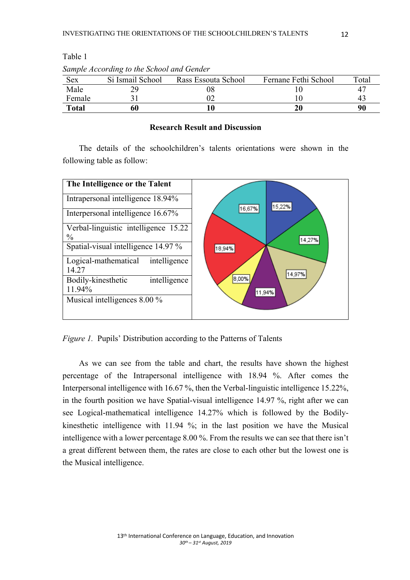|        | Sample Accoraing to the School and Gender |                     |                      |       |
|--------|-------------------------------------------|---------------------|----------------------|-------|
| Sex    | Si Ismail School                          | Rass Essouta School | Fernane Fethi School | Total |
| Male   |                                           |                     |                      | 4     |
| Female |                                           |                     |                      | 4.    |
| Total  |                                           |                     |                      | 90    |

Table 1

### **Research Result and Discussion**

The details of the schoolchildren's talents orientations were shown in the following table as follow:



*Figure 1.* Pupils' Distribution according to the Patterns of Talents

As we can see from the table and chart, the results have shown the highest percentage of the Intrapersonal intelligence with 18.94 %. After comes the Interpersonal intelligence with 16.67 %, then the Verbal-linguistic intelligence 15.22%, in the fourth position we have Spatial-visual intelligence 14.97 %, right after we can see Logical-mathematical intelligence 14.27% which is followed by the Bodilykinesthetic intelligence with 11.94 %; in the last position we have the Musical intelligence with a lower percentage 8.00 %. From the results we can see that there isn't a great different between them, the rates are close to each other but the lowest one is the Musical intelligence.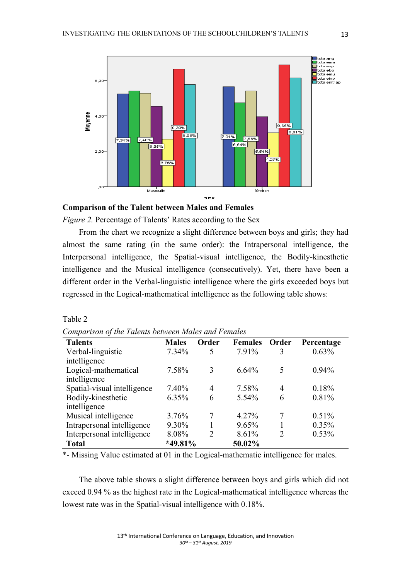

#### **Comparison of the Talent between Males and Females**

*Figure 2.* Percentage of Talents' Rates according to the Sex

From the chart we recognize a slight difference between boys and girls; they had almost the same rating (in the same order): the Intrapersonal intelligence, the Interpersonal intelligence, the Spatial-visual intelligence, the Bodily-kinesthetic intelligence and the Musical intelligence (consecutively). Yet, there have been a different order in the Verbal-linguistic intelligence where the girls exceeded boys but regressed in the Logical-mathematical intelligence as the following table shows:

| $\mathbf{I}$<br>$\cdot^{\prime}$<br><b>Talents</b> | <b>Males</b> | Order          | <b>Females</b> | Order          | Percentage |
|----------------------------------------------------|--------------|----------------|----------------|----------------|------------|
| Verbal-linguistic                                  | 7.34%        | 5              | 7.91%          | 3              | 0.63%      |
| intelligence                                       |              |                |                |                |            |
| Logical-mathematical                               | 7.58%        | 3              | 6.64%          | 5              | $0.94\%$   |
| intelligence                                       |              |                |                |                |            |
| Spatial-visual intelligence                        | 7.40%        | $\overline{4}$ | 7.58%          | 4              | 0.18%      |
| Bodily-kinesthetic                                 | 6.35%        | 6              | 5.54%          | 6              | 0.81%      |
| intelligence                                       |              |                |                |                |            |
| Musical intelligence                               | 3.76%        | 7              | $4.27\%$       | 7              | 0.51%      |
| Intrapersonal intelligence                         | 9.30%        |                | 9.65%          |                | 0.35%      |
| Interpersonal intelligence                         | 8.08%        | 2              | 8.61%          | $\overline{2}$ | 0.53%      |
| <b>Total</b>                                       | $*49.81\%$   |                | 50.02%         |                |            |

| Comparison of the Talents between Males and Females |
|-----------------------------------------------------|
|-----------------------------------------------------|

Table 2

\*- Missing Value estimated at 01 in the Logical-mathematic intelligence for males.

The above table shows a slight difference between boys and girls which did not exceed 0.94 % as the highest rate in the Logical-mathematical intelligence whereas the lowest rate was in the Spatial-visual intelligence with 0.18%.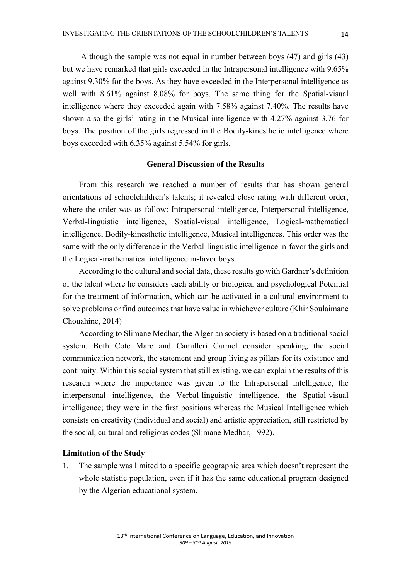Although the sample was not equal in number between boys (47) and girls (43) but we have remarked that girls exceeded in the Intrapersonal intelligence with 9.65% against 9.30% for the boys. As they have exceeded in the Interpersonal intelligence as well with 8.61% against 8.08% for boys. The same thing for the Spatial-visual intelligence where they exceeded again with 7.58% against 7.40%. The results have shown also the girls' rating in the Musical intelligence with 4.27% against 3.76 for boys. The position of the girls regressed in the Bodily-kinesthetic intelligence where boys exceeded with 6.35% against 5.54% for girls.

### **General Discussion of the Results**

From this research we reached a number of results that has shown general orientations of schoolchildren's talents; it revealed close rating with different order, where the order was as follow: Intrapersonal intelligence, Interpersonal intelligence, Verbal-linguistic intelligence, Spatial-visual intelligence, Logical-mathematical intelligence, Bodily-kinesthetic intelligence, Musical intelligences. This order was the same with the only difference in the Verbal-linguistic intelligence in-favor the girls and the Logical-mathematical intelligence in-favor boys.

According to the cultural and social data, these results go with Gardner's definition of the talent where he considers each ability or biological and psychological Potential for the treatment of information, which can be activated in a cultural environment to solve problems or find outcomes that have value in whichever culture (Khir Soulaimane Chouahine, 2014)

According to Slimane Medhar, the Algerian society is based on a traditional social system. Both Cote Marc and Camilleri Carmel consider speaking, the social communication network, the statement and group living as pillars for its existence and continuity. Within this social system that still existing, we can explain the results of this research where the importance was given to the Intrapersonal intelligence, the interpersonal intelligence, the Verbal-linguistic intelligence, the Spatial-visual intelligence; they were in the first positions whereas the Musical Intelligence which consists on creativity (individual and social) and artistic appreciation, still restricted by the social, cultural and religious codes (Slimane Medhar, 1992).

### **Limitation of the Study**

1. The sample was limited to a specific geographic area which doesn't represent the whole statistic population, even if it has the same educational program designed by the Algerian educational system.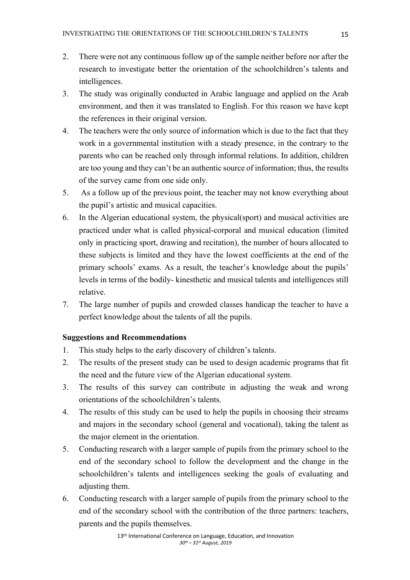- 2. There were not any continuous follow up of the sample neither before nor after the research to investigate better the orientation of the schoolchildren's talents and intelligences.
- 3. The study was originally conducted in Arabic language and applied on the Arab environment, and then it was translated to English. For this reason we have kept the references in their original version.
- 4. The teachers were the only source of information which is due to the fact that they work in a governmental institution with a steady presence, in the contrary to the parents who can be reached only through informal relations. In addition, children are too young and they can't be an authentic source of information; thus, the results of the survey came from one side only.
- 5. As a follow up of the previous point, the teacher may not know everything about the pupil's artistic and musical capacities.
- 6. In the Algerian educational system, the physical(sport) and musical activities are practiced under what is called physical-corporal and musical education (limited only in practicing sport, drawing and recitation), the number of hours allocated to these subjects is limited and they have the lowest coefficients at the end of the primary schools' exams. As a result, the teacher's knowledge about the pupils' levels in terms of the bodily- kinesthetic and musical talents and intelligences still relative.
- 7. The large number of pupils and crowded classes handicap the teacher to have a perfect knowledge about the talents of all the pupils.

### **Suggestions and Recommendations**

- 1. This study helps to the early discovery of children's talents.
- 2. The results of the present study can be used to design academic programs that fit the need and the future view of the Algerian educational system.
- 3. The results of this survey can contribute in adjusting the weak and wrong orientations of the schoolchildren's talents.
- 4. The results of this study can be used to help the pupils in choosing their streams and majors in the secondary school (general and vocational), taking the talent as the major element in the orientation.
- 5. Conducting research with a larger sample of pupils from the primary school to the end of the secondary school to follow the development and the change in the schoolchildren's talents and intelligences seeking the goals of evaluating and adjusting them.
- 6. Conducting research with a larger sample of pupils from the primary school to the end of the secondary school with the contribution of the three partners: teachers, parents and the pupils themselves.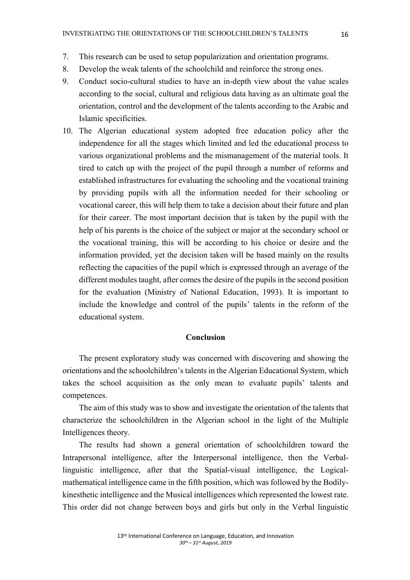- 7. This research can be used to setup popularization and orientation programs.
- 8. Develop the weak talents of the schoolchild and reinforce the strong ones.
- 9. Conduct socio-cultural studies to have an in-depth view about the value scales according to the social, cultural and religious data having as an ultimate goal the orientation, control and the development of the talents according to the Arabic and Islamic specificities.
- 10. The Algerian educational system adopted free education policy after the independence for all the stages which limited and led the educational process to various organizational problems and the mismanagement of the material tools. It tired to catch up with the project of the pupil through a number of reforms and established infrastructures for evaluating the schooling and the vocational training by providing pupils with all the information needed for their schooling or vocational career, this will help them to take a decision about their future and plan for their career. The most important decision that is taken by the pupil with the help of his parents is the choice of the subject or major at the secondary school or the vocational training, this will be according to his choice or desire and the information provided, yet the decision taken will be based mainly on the results reflecting the capacities of the pupil which is expressed through an average of the different modules taught, after comes the desire of the pupils in the second position for the evaluation (Ministry of National Education, 1993). It is important to include the knowledge and control of the pupils' talents in the reform of the educational system.

### **Conclusion**

The present exploratory study was concerned with discovering and showing the orientations and the schoolchildren's talents in the Algerian Educational System, which takes the school acquisition as the only mean to evaluate pupils' talents and competences.

The aim of this study was to show and investigate the orientation of the talents that characterize the schoolchildren in the Algerian school in the light of the Multiple Intelligences theory.

The results had shown a general orientation of schoolchildren toward the Intrapersonal intelligence, after the Interpersonal intelligence, then the Verballinguistic intelligence, after that the Spatial-visual intelligence, the Logicalmathematical intelligence came in the fifth position, which was followed by the Bodilykinesthetic intelligence and the Musical intelligences which represented the lowest rate. This order did not change between boys and girls but only in the Verbal linguistic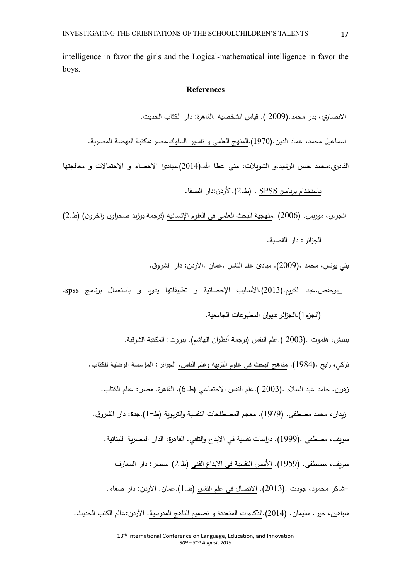intelligence in favor the girls and the Logical-mathematical intelligence in favor the boys.

# **References**

الانصارى، بدر محمد.(2009 ). قياس الشخصية .القاهرة: دار الكتاب الحديث.

اسماعيل محمد، عماد الدين.(1970).المنهج العلمي و تفسير السلوك.مصر :مكتبة النهضة المصربة.

القادري،محمد حسن الرشيد،و الشويلات، منبي عطا الله.(2014).مبادئ الاحصاء و الاحتمالات و معالجتها

باستخدام برنامج SPSS . (ط.2).الأردن:دار الصفا.

انجرس، موريس. (2006) .منهجية البحث العلمي في العلوم الإنسانية (ترجمة بوزيد صحراوي وآخرون) (ط.2)

الجزائر : دار القصبة.

بني يونس، محمد .(2009). مبادئ علم النفس .عمان .الأردن: دار الشروق.

\_بوحفص،عبد الكريم.(2013).الأساليب الإحصائية و تطبيقاتها يدويا و باستعمال برنامج spss.

الجزء 1).الجزائر :ديوان المطبوعات الجامعية.)

بينيش، هلموت .(2003 ).علم النفس (ترجمة أنطوان الهاشم). بيروت: المكتبة الشرقية. تركي، رابح .(1984). <u>مناهج البحث في علوم التربية وعلم النفس.</u> الجزائر : المؤسسة الوطنية للكتاب. زهران، حامد عبد السلام .(2003 ).علم النفس الاجتماعي (ط.6). القاهرة. مصر : عالم الكتاب. زيدان، محمد مصطفى. (1979). معجم المصطلحات النفسية والتربوية (ط-1).جدة: دار الشروق. سوبف، مصطفى .(1999). دراسات نفسية في الابداع والتلقي. القاهرة: الدار المصربة اللبنانية. سويف، مصطفى. (1959). الأسس النفسية في الابداع الفني (ط 2) .مصر : دار المعارف -شاكر محمود، جودت .(2013). الاتصال في علم النفس (ط.1).عمان. الأردن: دار صفاء. شواهين، خير ، سليمان. (2014).الذكاءات المتعددة و تصميم الناهج المدرسية. الأردن:عالم الكتب الحديث.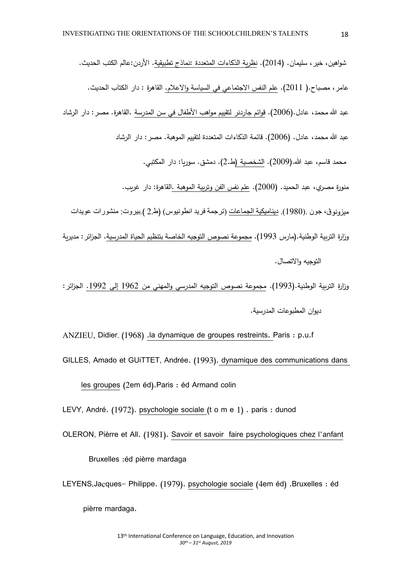- شواهين، خير ، سليمان. (2014). نظرية الذكاءات المتعددة :نماذج تطبيقية. الأردن:عالم الكتب الحديث. عامر ، مصباح.( 2011). علم النفس الاجتماعي في السياسة والاعلام. القاهرة : دار الكتاب الحديث. عبد الله محمد، عادل.(2006). قوائم جاردنر لتقييم مواهب الأطفال في سن المدرسة .القاهرة. مصر : دار الرشاد عبد الله محمد، عادل. (2006). قائمة الذكاءات المتعددة لتقييم الموهبة. مصر : دار الرشاد محمد قاسم، عبد الله.(2009). الشخصية (ط.2). دمشق. سوريا: دار المكتبي. منورة مصري، عبد الحميد. (2000). علم نفس الفن وتربية الموهبة .القاهرة: دار غريب. ميزونوڤ، جون .(1980). ديناميكية الجماعات (ترجمة فريد انطونيوس) (ط2 ) بيروت: منشورات عويدات وزارة التربية الوطنية.(مارس 1993). مجموعة نصوص التوجيه الخاصة بتنظيم الحياة المدرسية. الجزائر : مديربة التوجبه والاتصال.
- وزارة التربية الوطنية.(1993). مجموعة نصوص التوجيه المدرسي والمهني من 1962 إلى 1992. الجزائر : دبوان المطبوعات المدرسبة.
- ANZIEU, Didier. (1968) .la dynamique de groupes restreints. Paris : p.u.f GILLES, Amado et GUiTTET, Andrée. (1993). dynamique des communications dans les groupes (2em éd).Paris : éd Armand colin

LEVY, André. (1972). psychologie sociale (t o m e 1) . paris : dunod

OLERON, Pièrre et All. (1981). Savoir et savoir faire psychologiques chez l'anfant

Bruxelles :éd pièrre mardaga

LEYENS,Jacques- Philippe. (1979). psychologie sociale (4em éd) .Bruxelles : éd pièrre mardaga.